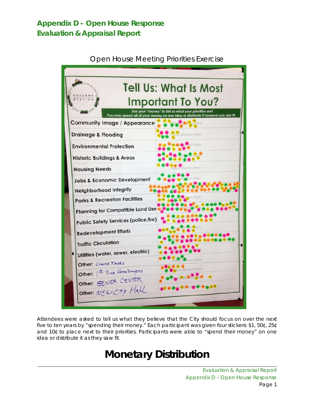### **Appendix D – Open House Response Evaluation & Appraisal Report**



Open House Meeting Priorities Exercise

Attendees were asked to tell us what they believe that the City should focus on over the next five to ten years by "spending their money." Each participant was given four stickers: \$1, 50¢, 25¢ and 10¢ to place next to their priorities. Participants were able to "spend their money" on one idea or distribute it as they saw fit.

# **Monetary Distribution**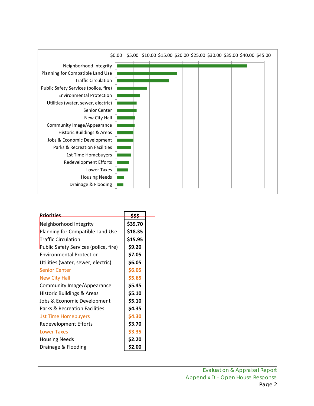

| <b>Priorities</b>                     | \$\$\$  |  |
|---------------------------------------|---------|--|
| Neighborhood Integrity                | \$39.70 |  |
| Planning for Compatible Land Use      | \$18.35 |  |
| <b>Traffic Circulation</b>            | \$15.95 |  |
| Public Safety Services (police, fire) | \$9.20  |  |
| <b>Environmental Protection</b>       | \$7.05  |  |
| Utilities (water, sewer, electric)    | \$6.05  |  |
| <b>Senior Center</b>                  | \$6.05  |  |
| New City Hall                         | \$5.65  |  |
| Community Image/Appearance            | \$5.45  |  |
| Historic Buildings & Areas            | \$5.10  |  |
| Jobs & Economic Development           | \$5.10  |  |
| Parks & Recreation Facilities         | \$4.35  |  |
| 1st Time Homebuyers                   | \$4.30  |  |
| <b>Redevelopment Efforts</b>          | \$3.70  |  |
| <b>Lower Taxes</b>                    | \$3.35  |  |
| <b>Housing Needs</b>                  | \$2.20  |  |
| Drainage & Flooding                   | \$2.00  |  |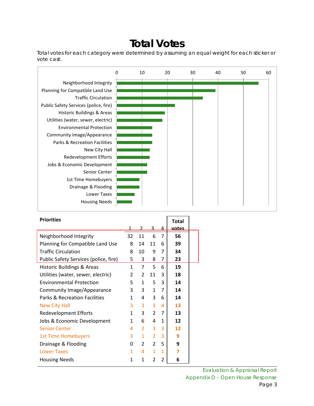## **Total Votes**

Total votes for each category were determined by assuming an equal weight for each sticker or vote cast.



| <b>Priorities</b>                     |    |                |                |                | <b>Total</b> |  |
|---------------------------------------|----|----------------|----------------|----------------|--------------|--|
|                                       |    |                | ર              | 4              | <u>votes</u> |  |
| Neighborhood Integrity                | 32 | 11             | 6              | $\overline{7}$ | 56           |  |
| Planning for Compatible Land Use      | 8  | 14             | 11             | 6              | 39           |  |
| <b>Traffic Circulation</b>            | 8  | 10             | 9              | 7              | 34           |  |
| Public Safety Services (police, fire) | 5. | 3              | 8              | 7              | 23           |  |
| <b>Historic Buildings &amp; Areas</b> | 1  | 7              | 5              | 6              | 19           |  |
| Utilities (water, sewer, electric)    | 2  | 2              | 11             | 3              | 18           |  |
| <b>Environmental Protection</b>       | 5  | 1              | 5              | 3              | 14           |  |
| Community Image/Appearance            | 3  | 3              | 1              | 7              | 14           |  |
| Parks & Recreation Facilities         | 1  | 4              | 3              | 6              | 14           |  |
| <b>New City Hall</b>                  | 3  | 3              | 3              | 4              | 13           |  |
| <b>Redevelopment Efforts</b>          | 1  | 3              | $\overline{2}$ | 7              | 13           |  |
| Jobs & Economic Development           | 1  | 6              | 4              | 1              | 12           |  |
| <b>Senior Center</b>                  | 4  | $\overline{2}$ | 3              | 3              | 12           |  |
| <b>1st Time Homebuyers</b>            | 3  | 1              | $\overline{2}$ | 3              | 9            |  |
| Drainage & Flooding                   | 0  | 2              | $\overline{2}$ | 5              | 9            |  |
| <b>Lower Taxes</b>                    | 1  | 4              | 1              | $\mathbf{1}$   | 7            |  |
| <b>Housing Needs</b>                  | 1  | 1              | 2              | 2              | 6            |  |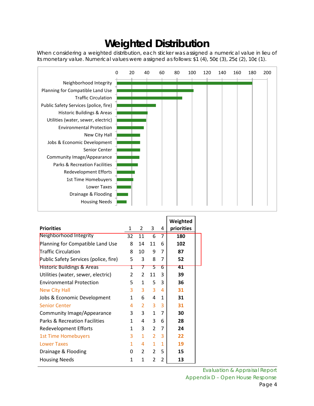# **Weighted Distribution**

When considering a weighted distribution, each sticker was assigned a numerical value in lieu of its monetary value. Numerical values were assigned as follows: \$1 (4), 50¢ (3), 25¢ (2), 10¢ (1).



|                                       |                |                |                |              | Weighted   |
|---------------------------------------|----------------|----------------|----------------|--------------|------------|
| <b>Priorities</b>                     | 1              | 2              | 3              | 4            | priorities |
| Neighborhood Integrity                | 32             | 11             | 6              | 7            | 180        |
| Planning for Compatible Land Use      | 8              | 14             | 11             | 6            | 102        |
| Traffic Circulation                   | 8              | 10             | 9              | 7            | 87         |
| Public Safety Services (police, fire) | 5              | 3              | 8              | 7            | 52         |
| <b>Historic Buildings &amp; Areas</b> | Τ              | 7              | 5              | ь            | 41         |
| Utilities (water, sewer, electric)    | $\overline{2}$ | $\overline{2}$ | 11             | 3            | 39         |
| <b>Environmental Protection</b>       | 5              | 1              | 5              | 3            | 36         |
| New City Hall                         | 3              | 3              | 3              | 4            | 31         |
| Jobs & Economic Development           | 1              | 6              | 4              | 1            | 31         |
| <b>Senior Center</b>                  | 4              | 2              | 3              | 3            | 31         |
| Community Image/Appearance            | 3              | 3              | 1              | 7            | 30         |
| Parks & Recreation Facilities         | 1              | 4              | 3              | 6            | 28         |
| <b>Redevelopment Efforts</b>          | 1              | 3              | $\overline{2}$ | 7            | 24         |
| <b>1st Time Homebuyers</b>            | 3              | $\mathbf{1}$   | 2              | 3            | 22         |
| <b>Lower Taxes</b>                    | 1              | 4              | 1              | $\mathbf{1}$ | 19         |
| Drainage & Flooding                   | 0              | $\overline{2}$ | $\overline{2}$ | 5            | 15         |
| <b>Housing Needs</b>                  | 1              | 1              | 2              | 2            | 13         |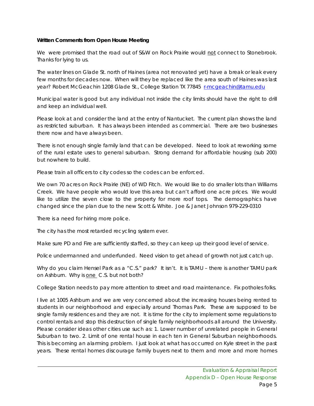#### **Written Comments from Open House Meeting**

We were promised that the road out of S&W on Rock Prairie would not connect to Stonebrook. Thanks for lying to us.

The water lines on Glade St. north of Haines (area not renovated yet) have a break or leak every few months for decades now. When will they be replaced like the area south of Haines was last year? Robert McGeachin 1208 Glade St., College Station TX 77845 [r-mcgeachin@tamu.edu](mailto:r-mcgeachin@tamu.edu)

Municipal water is good but any individual not inside the city limits should have the right to drill and keep an individual well.

Please look at and consider the land at the entry of Nantucket. The current plan shows the land as restricted suburban. It has always been intended as commercial. There are two businesses there now and have always been.

There is not enough single family land that can be developed. Need to look at reworking some of the rural estate uses to general suburban. Strong demand for affordable housing (sub 200) but nowhere to build.

Please train all officers to city codes so the codes can be enforced.

We own 70 acres on Rock Prairie (NE) of WD Fitch. We would like to do smaller lots than Williams Creek. We have people who would love this area but can't afford one acre prices. We would like to utilize the seven close to the property for more roof tops. The demographics have changed since the plan due to the new Scott & White. Joe & Janet Johnson 979-229-0310

There is a need for hiring more police.

The city has the most retarded recycling system ever.

Make sure PD and Fire are sufficiently staffed, so they can keep up their good level of service.

Police undermanned and underfunded. Need vision to get ahead of growth not just catch up.

Why do you claim Hensel Park as a "C.S." park? It isn't. It is TAMU – there is another TAMU park on Ashburn. Why is one C.S. but not both?

College Station needs to pay more attention to street and road maintenance. Fix potholes folks.

I live at 1005 Ashburn and we are very concerned about the increasing houses being rented to students in our neighborhood and especially around Thomas Park. These are supposed to be single family residences and they are not. It is time for the city to implement some regulations to control rentals and stop this destruction of single family neighborhoods all around the University. Please consider ideas other cities use such as: 1. Lower number of unrelated people in General Suburban to two. 2. Limit of one rental house in each ten in General Suburban neighborhoods. This is becoming an alarming problem. I just look at what has occurred on Kyle street in the past years. These rental homes discourage family buyers next to them and more and more homes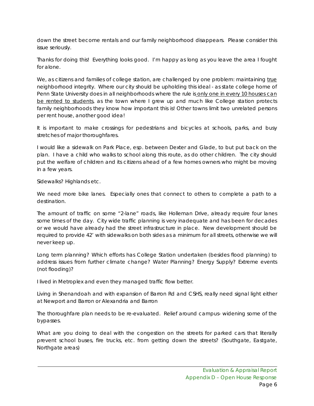down the street become rentals and our family neighborhood disappears. Please consider this issue seriously.

Thanks for doing this! Everything looks good. I'm happy as long as you leave the area I fought for alone.

We, as citizens and families of college station, are challenged by one problem: maintaining true neighborhood integrity. Where our city should be upholding this ideal - as state college home of Penn State University does in all neighborhoods where the rule is only one in every 10 houses can be rented to students, as the town where I grew up and much like College station protects family neighborhoods they know how important this is! Other towns limit two unrelated persons per rent house, another good idea!

It is important to make crossings for pedestrians and bicycles at schools, parks, and busy stretches of major thoroughfares.

I would like a sidewalk on Park Place, esp. between Dexter and Glade, to but put back on the plan. I have a child who walks to school along this route, as do other children. The city should put the welfare of children and its citizens ahead of a few homes owners who might be moving in a few years.

Sidewalks? Highlands etc.

We need more bike lanes. Especially ones that connect to others to complete a path to a destination.

The amount of traffic on some "2-lane" roads, like Holleman Drive, already require four lanes some times of the day. City wide traffic planning is very inadequate and has been for decades or we would have already had the street infrastructure in place. New development should be required to provide 42' with sidewalks on both sides as a minimum for all streets, otherwise we will never keep up.

Long term planning? Which efforts has College Station undertaken (besides flood planning) to address issues from further climate change? Water Planning? Energy Supply? Extreme events (not flooding)?

I lived in Metroplex and even they managed traffic flow better.

Living in Shenandoah and with expansion of Barron Rd and CSHS, really need signal light either at Newport and Barron or Alexandria and Barron

The thoroughfare plan needs to be re-evaluated. Relief around campus- widening some of the bypasses.

What are you doing to deal with the congestion on the streets for parked cars that literally prevent school buses, fire trucks, etc. from getting down the streets? (Southgate, Eastgate, Northgate areas)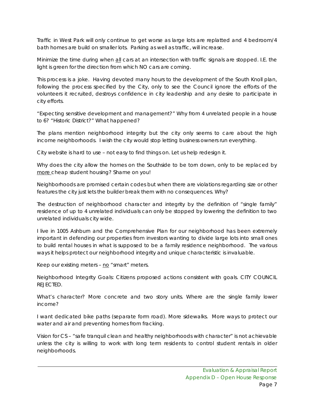Traffic in West Park will only continue to get worse as large lots are replatted and 4 bedroom/4 bath homes are build on smaller lots. Parking as well as traffic, will increase.

Minimize the time during when all cars at an intersection with traffic signals are stopped. I.E. the light is green for the direction from which NO cars are coming.

This process is a joke. Having devoted many hours to the development of the South Knoll plan, following the process specified by the City, only to see the Council ignore the efforts of the volunteers it recruited, destroys confidence in city leadership and any desire to participate in city efforts.

"Expecting sensitive development and management?" Why from 4 unrelated people in a house to 6? "Historic District?" What happened?

The plans mention neighborhood integrity but the city only seems to care about the high income neighborhoods. I wish the city would stop letting business owners run everything.

City website is hard to use – not easy to find things on. Let us help redesign it.

Why does the city allow the homes on the Southside to be torn down, only to be replaced by more cheap student housing? Shame on you!

Neighborhoods are promised certain codes but when there are violations regarding size or other features the city just lets the builder break them with no consequences. Why?

The destruction of neighborhood character and integrity by the definition of "single family" residence of up to 4 unrelated individuals can only be stopped by lowering the definition to two unrelated individuals city wide.

I live in 1005 Ashburn and the Comprehensive Plan for our neighborhood has been extremely important in defending our properties from investors wanting to divide large lots into small ones to build rental houses in what is supposed to be a family residence neighborhood. The various ways it helps protect our neighborhood integrity and unique characteristic is invaluable.

Keep our existing meters -  $no$  "smart" meters.

Neighborhood Integrity Goals: Citizens proposed actions consistent with goals. CITY COUNCIL REJECTED.

What's character? More concrete and two story units. Where are the single family lower income?

I want dedicated bike paths (separate form road). More sidewalks. More ways to protect our water and air and preventing homes from fracking.

Vision for CS – "safe tranquil clean and healthy neighborhoods with character" is not achievable unless the city is willing to work with long term residents to control student rentals in older neighborhoods.